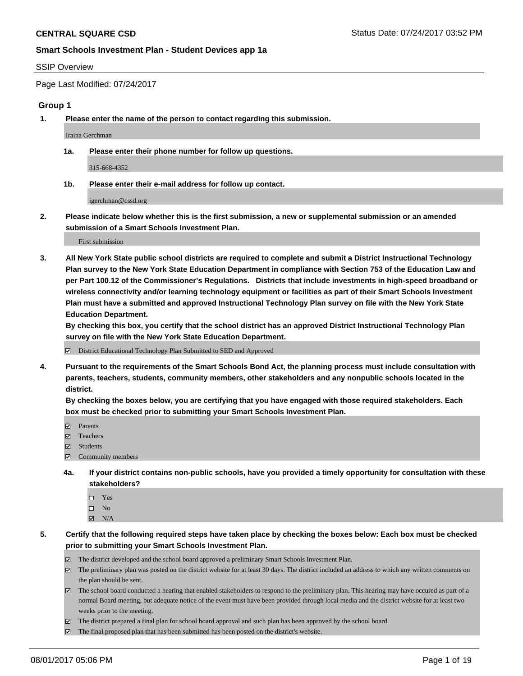#### SSIP Overview

Page Last Modified: 07/24/2017

#### **Group 1**

**1. Please enter the name of the person to contact regarding this submission.**

Iraina Gerchman

**1a. Please enter their phone number for follow up questions.**

315-668-4352

**1b. Please enter their e-mail address for follow up contact.**

igerchman@cssd.org

**2. Please indicate below whether this is the first submission, a new or supplemental submission or an amended submission of a Smart Schools Investment Plan.**

First submission

**3. All New York State public school districts are required to complete and submit a District Instructional Technology Plan survey to the New York State Education Department in compliance with Section 753 of the Education Law and per Part 100.12 of the Commissioner's Regulations. Districts that include investments in high-speed broadband or wireless connectivity and/or learning technology equipment or facilities as part of their Smart Schools Investment Plan must have a submitted and approved Instructional Technology Plan survey on file with the New York State Education Department.** 

**By checking this box, you certify that the school district has an approved District Instructional Technology Plan survey on file with the New York State Education Department.**

District Educational Technology Plan Submitted to SED and Approved

**4. Pursuant to the requirements of the Smart Schools Bond Act, the planning process must include consultation with parents, teachers, students, community members, other stakeholders and any nonpublic schools located in the district.** 

**By checking the boxes below, you are certifying that you have engaged with those required stakeholders. Each box must be checked prior to submitting your Smart Schools Investment Plan.**

- **マ** Parents
- □ Teachers
- Students
- $\Xi$  Community members
- **4a. If your district contains non-public schools, have you provided a timely opportunity for consultation with these stakeholders?**
	- Yes
	- $\hfill \square$  No
	- $\boxtimes$  N/A
- **5. Certify that the following required steps have taken place by checking the boxes below: Each box must be checked prior to submitting your Smart Schools Investment Plan.**
	- The district developed and the school board approved a preliminary Smart Schools Investment Plan.
	- $\boxtimes$  The preliminary plan was posted on the district website for at least 30 days. The district included an address to which any written comments on the plan should be sent.
	- $\boxtimes$  The school board conducted a hearing that enabled stakeholders to respond to the preliminary plan. This hearing may have occured as part of a normal Board meeting, but adequate notice of the event must have been provided through local media and the district website for at least two weeks prior to the meeting.
	- The district prepared a final plan for school board approval and such plan has been approved by the school board.
	- $\boxtimes$  The final proposed plan that has been submitted has been posted on the district's website.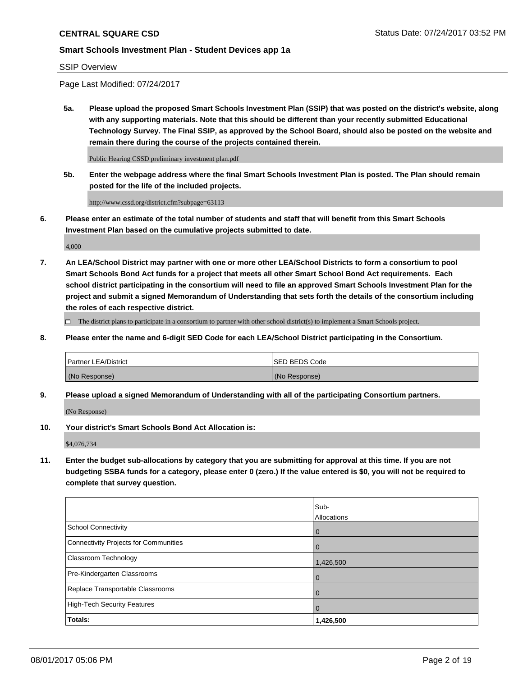#### SSIP Overview

Page Last Modified: 07/24/2017

**5a. Please upload the proposed Smart Schools Investment Plan (SSIP) that was posted on the district's website, along with any supporting materials. Note that this should be different than your recently submitted Educational Technology Survey. The Final SSIP, as approved by the School Board, should also be posted on the website and remain there during the course of the projects contained therein.**

Public Hearing CSSD preliminary investment plan.pdf

**5b. Enter the webpage address where the final Smart Schools Investment Plan is posted. The Plan should remain posted for the life of the included projects.**

http://www.cssd.org/district.cfm?subpage=63113

**6. Please enter an estimate of the total number of students and staff that will benefit from this Smart Schools Investment Plan based on the cumulative projects submitted to date.**

4,000

**7. An LEA/School District may partner with one or more other LEA/School Districts to form a consortium to pool Smart Schools Bond Act funds for a project that meets all other Smart School Bond Act requirements. Each school district participating in the consortium will need to file an approved Smart Schools Investment Plan for the project and submit a signed Memorandum of Understanding that sets forth the details of the consortium including the roles of each respective district.**

 $\Box$  The district plans to participate in a consortium to partner with other school district(s) to implement a Smart Schools project.

**8. Please enter the name and 6-digit SED Code for each LEA/School District participating in the Consortium.**

| <b>Partner LEA/District</b> | <b>ISED BEDS Code</b> |
|-----------------------------|-----------------------|
| (No Response)               | (No Response)         |

**9. Please upload a signed Memorandum of Understanding with all of the participating Consortium partners.**

(No Response)

**10. Your district's Smart Schools Bond Act Allocation is:**

\$4,076,734

**11. Enter the budget sub-allocations by category that you are submitting for approval at this time. If you are not budgeting SSBA funds for a category, please enter 0 (zero.) If the value entered is \$0, you will not be required to complete that survey question.**

|                                       | Sub-        |
|---------------------------------------|-------------|
|                                       | Allocations |
| <b>School Connectivity</b>            | 0           |
| Connectivity Projects for Communities | 0           |
| <b>Classroom Technology</b>           | 1,426,500   |
| Pre-Kindergarten Classrooms           | 0           |
| Replace Transportable Classrooms      | 0           |
| <b>High-Tech Security Features</b>    | 0           |
| Totals:                               | 1,426,500   |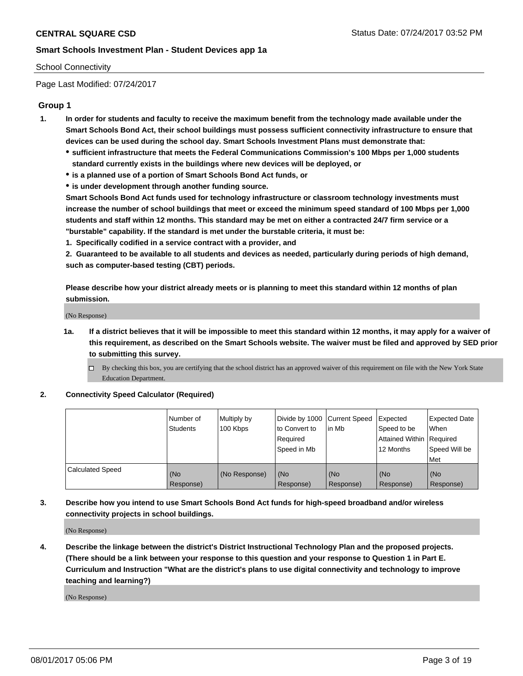#### School Connectivity

Page Last Modified: 07/24/2017

# **Group 1**

- **1. In order for students and faculty to receive the maximum benefit from the technology made available under the Smart Schools Bond Act, their school buildings must possess sufficient connectivity infrastructure to ensure that devices can be used during the school day. Smart Schools Investment Plans must demonstrate that:**
	- **sufficient infrastructure that meets the Federal Communications Commission's 100 Mbps per 1,000 students standard currently exists in the buildings where new devices will be deployed, or**
	- **is a planned use of a portion of Smart Schools Bond Act funds, or**
	- **is under development through another funding source.**

**Smart Schools Bond Act funds used for technology infrastructure or classroom technology investments must increase the number of school buildings that meet or exceed the minimum speed standard of 100 Mbps per 1,000 students and staff within 12 months. This standard may be met on either a contracted 24/7 firm service or a "burstable" capability. If the standard is met under the burstable criteria, it must be:**

**1. Specifically codified in a service contract with a provider, and**

**2. Guaranteed to be available to all students and devices as needed, particularly during periods of high demand, such as computer-based testing (CBT) periods.**

**Please describe how your district already meets or is planning to meet this standard within 12 months of plan submission.**

(No Response)

- **1a. If a district believes that it will be impossible to meet this standard within 12 months, it may apply for a waiver of this requirement, as described on the Smart Schools website. The waiver must be filed and approved by SED prior to submitting this survey.**
	- By checking this box, you are certifying that the school district has an approved waiver of this requirement on file with the New York State Education Department.

#### **2. Connectivity Speed Calculator (Required)**

|                         | l Number of<br><b>Students</b> | Multiply by<br>100 Kbps | Divide by 1000   Current Speed<br>to Convert to<br>Required<br>l Speed in Mb | in Mb            | Expected<br>Speed to be<br>Attained Within Required<br>12 Months | <b>Expected Date</b><br>When<br>Speed Will be<br><b>Met</b> |
|-------------------------|--------------------------------|-------------------------|------------------------------------------------------------------------------|------------------|------------------------------------------------------------------|-------------------------------------------------------------|
| <b>Calculated Speed</b> | (No<br>Response)               | (No Response)           | (No<br>Response)                                                             | (No<br>Response) | (No<br>Response)                                                 | l (No<br>Response)                                          |

# **3. Describe how you intend to use Smart Schools Bond Act funds for high-speed broadband and/or wireless connectivity projects in school buildings.**

(No Response)

**4. Describe the linkage between the district's District Instructional Technology Plan and the proposed projects. (There should be a link between your response to this question and your response to Question 1 in Part E. Curriculum and Instruction "What are the district's plans to use digital connectivity and technology to improve teaching and learning?)**

(No Response)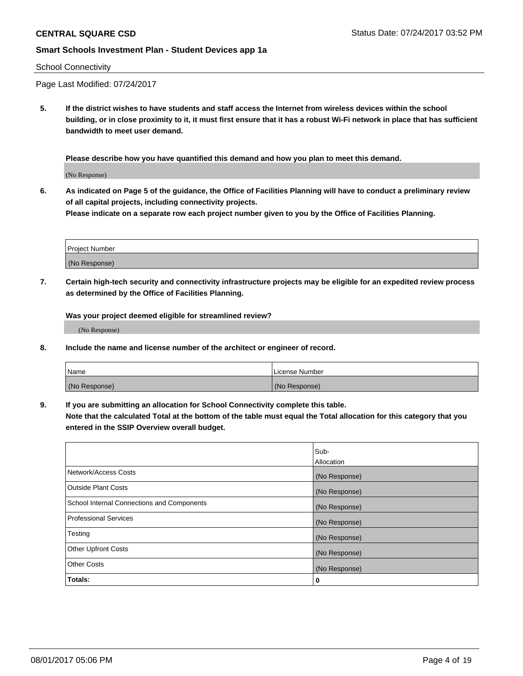#### School Connectivity

Page Last Modified: 07/24/2017

**5. If the district wishes to have students and staff access the Internet from wireless devices within the school building, or in close proximity to it, it must first ensure that it has a robust Wi-Fi network in place that has sufficient bandwidth to meet user demand.**

**Please describe how you have quantified this demand and how you plan to meet this demand.**

(No Response)

**6. As indicated on Page 5 of the guidance, the Office of Facilities Planning will have to conduct a preliminary review of all capital projects, including connectivity projects.**

**Please indicate on a separate row each project number given to you by the Office of Facilities Planning.**

| Project Number |  |
|----------------|--|
|                |  |
| (No Response)  |  |

**7. Certain high-tech security and connectivity infrastructure projects may be eligible for an expedited review process as determined by the Office of Facilities Planning.**

**Was your project deemed eligible for streamlined review?**

(No Response)

**8. Include the name and license number of the architect or engineer of record.**

| Name          | License Number |
|---------------|----------------|
| (No Response) | (No Response)  |

**9. If you are submitting an allocation for School Connectivity complete this table.**

**Note that the calculated Total at the bottom of the table must equal the Total allocation for this category that you entered in the SSIP Overview overall budget.** 

|                                            | Sub-          |
|--------------------------------------------|---------------|
|                                            | Allocation    |
| Network/Access Costs                       | (No Response) |
| Outside Plant Costs                        | (No Response) |
| School Internal Connections and Components | (No Response) |
| <b>Professional Services</b>               | (No Response) |
| Testing                                    | (No Response) |
| <b>Other Upfront Costs</b>                 | (No Response) |
| <b>Other Costs</b>                         | (No Response) |
| Totals:                                    | 0             |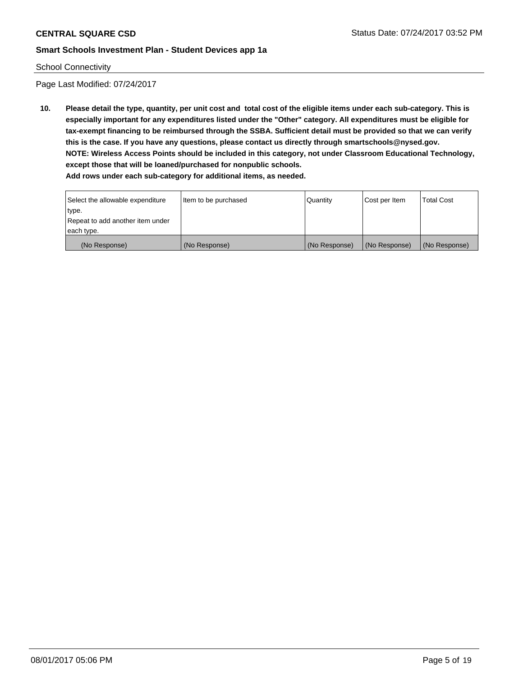#### School Connectivity

Page Last Modified: 07/24/2017

**10. Please detail the type, quantity, per unit cost and total cost of the eligible items under each sub-category. This is especially important for any expenditures listed under the "Other" category. All expenditures must be eligible for tax-exempt financing to be reimbursed through the SSBA. Sufficient detail must be provided so that we can verify this is the case. If you have any questions, please contact us directly through smartschools@nysed.gov. NOTE: Wireless Access Points should be included in this category, not under Classroom Educational Technology, except those that will be loaned/purchased for nonpublic schools.**

| Select the allowable expenditure | Item to be purchased | Quantity      | Cost per Item | Total Cost    |
|----------------------------------|----------------------|---------------|---------------|---------------|
| type.                            |                      |               |               |               |
| Repeat to add another item under |                      |               |               |               |
| each type.                       |                      |               |               |               |
| (No Response)                    | (No Response)        | (No Response) | (No Response) | (No Response) |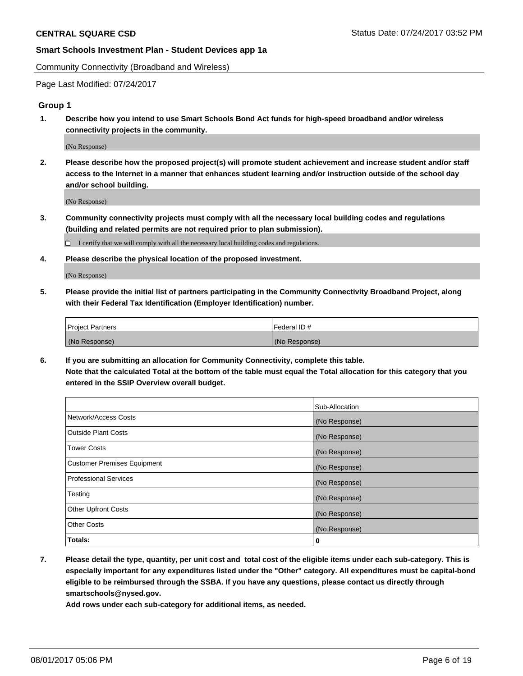Community Connectivity (Broadband and Wireless)

Page Last Modified: 07/24/2017

#### **Group 1**

**1. Describe how you intend to use Smart Schools Bond Act funds for high-speed broadband and/or wireless connectivity projects in the community.**

(No Response)

**2. Please describe how the proposed project(s) will promote student achievement and increase student and/or staff access to the Internet in a manner that enhances student learning and/or instruction outside of the school day and/or school building.**

(No Response)

**3. Community connectivity projects must comply with all the necessary local building codes and regulations (building and related permits are not required prior to plan submission).**

 $\Box$  I certify that we will comply with all the necessary local building codes and regulations.

**4. Please describe the physical location of the proposed investment.**

(No Response)

**5. Please provide the initial list of partners participating in the Community Connectivity Broadband Project, along with their Federal Tax Identification (Employer Identification) number.**

| <b>Project Partners</b> | Federal ID#     |
|-------------------------|-----------------|
| (No Response)           | l (No Response) |

**6. If you are submitting an allocation for Community Connectivity, complete this table. Note that the calculated Total at the bottom of the table must equal the Total allocation for this category that you entered in the SSIP Overview overall budget.**

|                                    | Sub-Allocation |
|------------------------------------|----------------|
| Network/Access Costs               | (No Response)  |
| Outside Plant Costs                | (No Response)  |
| <b>Tower Costs</b>                 | (No Response)  |
| <b>Customer Premises Equipment</b> | (No Response)  |
| <b>Professional Services</b>       | (No Response)  |
| Testing                            | (No Response)  |
| <b>Other Upfront Costs</b>         | (No Response)  |
| <b>Other Costs</b>                 | (No Response)  |
| Totals:                            | 0              |

**7. Please detail the type, quantity, per unit cost and total cost of the eligible items under each sub-category. This is especially important for any expenditures listed under the "Other" category. All expenditures must be capital-bond eligible to be reimbursed through the SSBA. If you have any questions, please contact us directly through smartschools@nysed.gov.**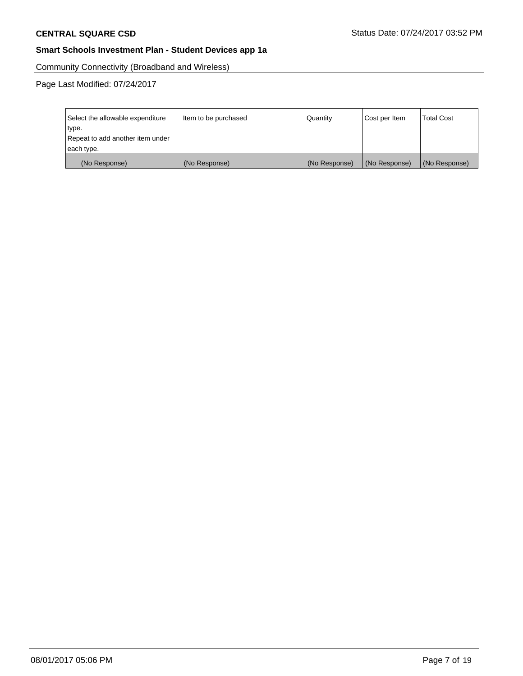Community Connectivity (Broadband and Wireless)

| Select the allowable expenditure | Item to be purchased | Quantity      | Cost per Item | <b>Total Cost</b> |
|----------------------------------|----------------------|---------------|---------------|-------------------|
| type.                            |                      |               |               |                   |
| Repeat to add another item under |                      |               |               |                   |
| each type.                       |                      |               |               |                   |
| (No Response)                    | (No Response)        | (No Response) | (No Response) | (No Response)     |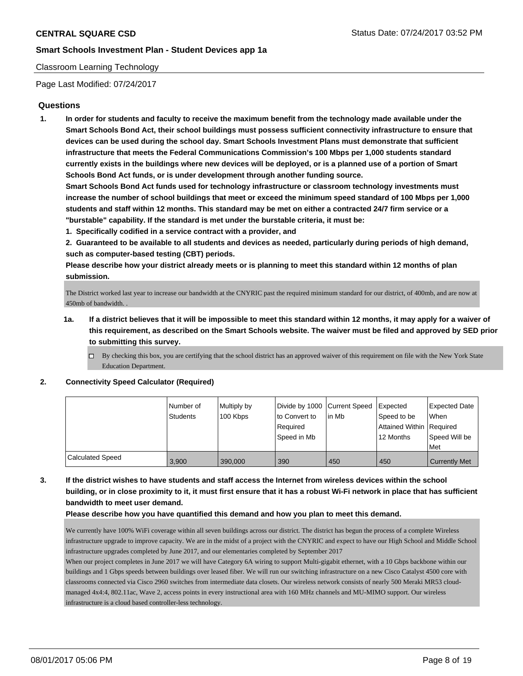#### Classroom Learning Technology

Page Last Modified: 07/24/2017

## **Questions**

**1. In order for students and faculty to receive the maximum benefit from the technology made available under the Smart Schools Bond Act, their school buildings must possess sufficient connectivity infrastructure to ensure that devices can be used during the school day. Smart Schools Investment Plans must demonstrate that sufficient infrastructure that meets the Federal Communications Commission's 100 Mbps per 1,000 students standard currently exists in the buildings where new devices will be deployed, or is a planned use of a portion of Smart Schools Bond Act funds, or is under development through another funding source.**

**Smart Schools Bond Act funds used for technology infrastructure or classroom technology investments must increase the number of school buildings that meet or exceed the minimum speed standard of 100 Mbps per 1,000 students and staff within 12 months. This standard may be met on either a contracted 24/7 firm service or a "burstable" capability. If the standard is met under the burstable criteria, it must be:**

**1. Specifically codified in a service contract with a provider, and**

**2. Guaranteed to be available to all students and devices as needed, particularly during periods of high demand, such as computer-based testing (CBT) periods.**

**Please describe how your district already meets or is planning to meet this standard within 12 months of plan submission.**

The District worked last year to increase our bandwidth at the CNYRIC past the required minimum standard for our district, of 400mb, and are now at 450mb of bandwidth. .

- **1a. If a district believes that it will be impossible to meet this standard within 12 months, it may apply for a waiver of this requirement, as described on the Smart Schools website. The waiver must be filed and approved by SED prior to submitting this survey.**
	- $\Box$  By checking this box, you are certifying that the school district has an approved waiver of this requirement on file with the New York State Education Department.

#### **2. Connectivity Speed Calculator (Required)**

|                  | l Number of | Multiply by |               | Divide by 1000 Current Speed Expected |                          | Expected Date        |
|------------------|-------------|-------------|---------------|---------------------------------------|--------------------------|----------------------|
|                  | Students    | 100 Kbps    | to Convert to | l in Mb                               | Speed to be              | When                 |
|                  |             |             | Reauired      |                                       | Attained Within Required |                      |
|                  |             |             | Speed in Mb   |                                       | 12 Months                | Speed Will be        |
|                  |             |             |               |                                       |                          | Met                  |
| Calculated Speed | 3.900       | 390,000     | 390           | 450                                   | 450                      | <b>Currently Met</b> |

**3. If the district wishes to have students and staff access the Internet from wireless devices within the school building, or in close proximity to it, it must first ensure that it has a robust Wi-Fi network in place that has sufficient bandwidth to meet user demand.**

#### **Please describe how you have quantified this demand and how you plan to meet this demand.**

We currently have 100% WiFi coverage within all seven buildings across our district. The district has begun the process of a complete Wireless infrastructure upgrade to improve capacity. We are in the midst of a project with the CNYRIC and expect to have our High School and Middle School infrastructure upgrades completed by June 2017, and our elementaries completed by September 2017

When our project completes in June 2017 we will have Category 6A wiring to support Multi-gigabit ethernet, with a 10 Gbps backbone within our buildings and 1 Gbps speeds between buildings over leased fiber. We will run our switching infrastructure on a new Cisco Catalyst 4500 core with classrooms connected via Cisco 2960 switches from intermediate data closets. Our wireless network consists of nearly 500 Meraki MR53 cloudmanaged 4x4:4, 802.11ac, Wave 2, access points in every instructional area with 160 MHz channels and MU-MIMO support. Our wireless infrastructure is a cloud based controller-less technology.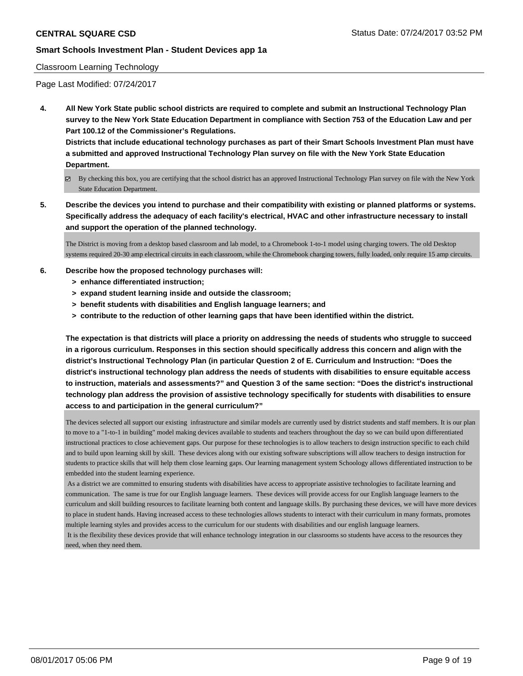#### Classroom Learning Technology

Page Last Modified: 07/24/2017

**4. All New York State public school districts are required to complete and submit an Instructional Technology Plan survey to the New York State Education Department in compliance with Section 753 of the Education Law and per Part 100.12 of the Commissioner's Regulations.**

**Districts that include educational technology purchases as part of their Smart Schools Investment Plan must have a submitted and approved Instructional Technology Plan survey on file with the New York State Education Department.**

- By checking this box, you are certifying that the school district has an approved Instructional Technology Plan survey on file with the New York State Education Department.
- **5. Describe the devices you intend to purchase and their compatibility with existing or planned platforms or systems. Specifically address the adequacy of each facility's electrical, HVAC and other infrastructure necessary to install and support the operation of the planned technology.**

The District is moving from a desktop based classroom and lab model, to a Chromebook 1-to-1 model using charging towers. The old Desktop systems required 20-30 amp electrical circuits in each classroom, while the Chromebook charging towers, fully loaded, only require 15 amp circuits.

- **6. Describe how the proposed technology purchases will:**
	- **> enhance differentiated instruction;**
	- **> expand student learning inside and outside the classroom;**
	- **> benefit students with disabilities and English language learners; and**
	- **> contribute to the reduction of other learning gaps that have been identified within the district.**

**The expectation is that districts will place a priority on addressing the needs of students who struggle to succeed in a rigorous curriculum. Responses in this section should specifically address this concern and align with the district's Instructional Technology Plan (in particular Question 2 of E. Curriculum and Instruction: "Does the district's instructional technology plan address the needs of students with disabilities to ensure equitable access to instruction, materials and assessments?" and Question 3 of the same section: "Does the district's instructional technology plan address the provision of assistive technology specifically for students with disabilities to ensure access to and participation in the general curriculum?"**

The devices selected all support our existing infrastructure and similar models are currently used by district students and staff members. It is our plan to move to a "1-to-1 in building" model making devices available to students and teachers throughout the day so we can build upon differentiated instructional practices to close achievement gaps. Our purpose for these technologies is to allow teachers to design instruction specific to each child and to build upon learning skill by skill. These devices along with our existing software subscriptions will allow teachers to design instruction for students to practice skills that will help them close learning gaps. Our learning management system Schoology allows differentiated instruction to be embedded into the student learning experience.

 As a district we are committed to ensuring students with disabilities have access to appropriate assistive technologies to facilitate learning and communication. The same is true for our English language learners. These devices will provide access for our English language learners to the curriculum and skill building resources to facilitate learning both content and language skills. By purchasing these devices, we will have more devices to place in student hands. Having increased access to these technologies allows students to interact with their curriculum in many formats, promotes multiple learning styles and provides access to the curriculum for our students with disabilities and our english language learners. It is the flexibility these devices provide that will enhance technology integration in our classrooms so students have access to the resources they need, when they need them.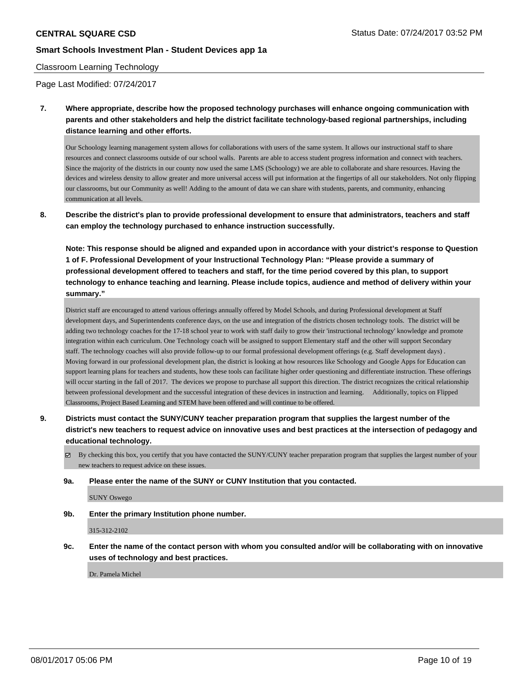#### Classroom Learning Technology

Page Last Modified: 07/24/2017

**7. Where appropriate, describe how the proposed technology purchases will enhance ongoing communication with parents and other stakeholders and help the district facilitate technology-based regional partnerships, including distance learning and other efforts.**

Our Schoology learning management system allows for collaborations with users of the same system. It allows our instructional staff to share resources and connect classrooms outside of our school walls. Parents are able to access student progress information and connect with teachers. Since the majority of the districts in our county now used the same LMS (Schoology) we are able to collaborate and share resources. Having the devices and wireless density to allow greater and more universal access will put information at the fingertips of all our stakeholders. Not only flipping our classrooms, but our Community as well! Adding to the amount of data we can share with students, parents, and community, enhancing communication at all levels.

**8. Describe the district's plan to provide professional development to ensure that administrators, teachers and staff can employ the technology purchased to enhance instruction successfully.**

**Note: This response should be aligned and expanded upon in accordance with your district's response to Question 1 of F. Professional Development of your Instructional Technology Plan: "Please provide a summary of professional development offered to teachers and staff, for the time period covered by this plan, to support technology to enhance teaching and learning. Please include topics, audience and method of delivery within your summary."**

District staff are encouraged to attend various offerings annually offered by Model Schools, and during Professional development at Staff development days, and Superintendents conference days, on the use and integration of the districts chosen technology tools. The district will be adding two technology coaches for the 17-18 school year to work with staff daily to grow their 'instructional technology' knowledge and promote integration within each curriculum. One Technology coach will be assigned to support Elementary staff and the other will support Secondary staff. The technology coaches will also provide follow-up to our formal professional development offerings (e.g. Staff development days) . Moving forward in our professional development plan, the district is looking at how resources like Schoology and Google Apps for Education can support learning plans for teachers and students, how these tools can facilitate higher order questioning and differentiate instruction. These offerings will occur starting in the fall of 2017. The devices we propose to purchase all support this direction. The district recognizes the critical relationship between professional development and the successful integration of these devices in instruction and learning. Additionally, topics on Flipped Classrooms, Project Based Learning and STEM have been offered and will continue to be offered.

- **9. Districts must contact the SUNY/CUNY teacher preparation program that supplies the largest number of the district's new teachers to request advice on innovative uses and best practices at the intersection of pedagogy and educational technology.**
	- By checking this box, you certify that you have contacted the SUNY/CUNY teacher preparation program that supplies the largest number of your new teachers to request advice on these issues.
	- **9a. Please enter the name of the SUNY or CUNY Institution that you contacted.**

SUNY Oswego

**9b. Enter the primary Institution phone number.**

315-312-2102

**9c. Enter the name of the contact person with whom you consulted and/or will be collaborating with on innovative uses of technology and best practices.**

Dr. Pamela Michel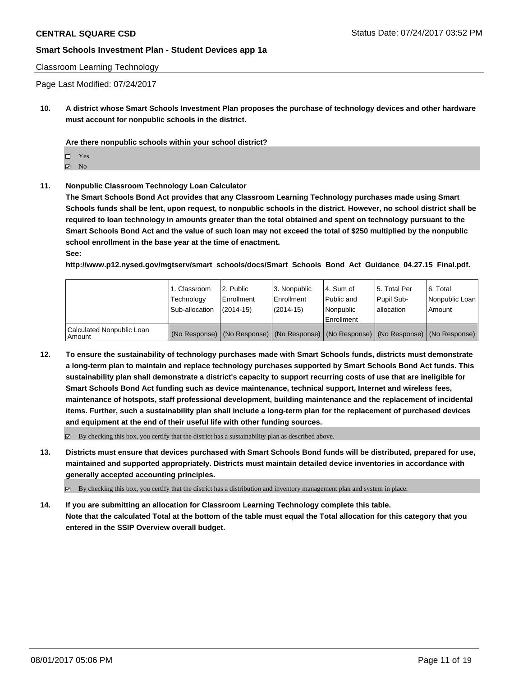#### Classroom Learning Technology

Page Last Modified: 07/24/2017

**10. A district whose Smart Schools Investment Plan proposes the purchase of technology devices and other hardware must account for nonpublic schools in the district.**

**Are there nonpublic schools within your school district?**

Yes

**Z** No

**11. Nonpublic Classroom Technology Loan Calculator**

**The Smart Schools Bond Act provides that any Classroom Learning Technology purchases made using Smart Schools funds shall be lent, upon request, to nonpublic schools in the district. However, no school district shall be required to loan technology in amounts greater than the total obtained and spent on technology pursuant to the Smart Schools Bond Act and the value of such loan may not exceed the total of \$250 multiplied by the nonpublic school enrollment in the base year at the time of enactment. See:**

**http://www.p12.nysed.gov/mgtserv/smart\_schools/docs/Smart\_Schools\_Bond\_Act\_Guidance\_04.27.15\_Final.pdf.**

|                                       | 1. Classroom<br>Technology<br>Sub-allocation | l 2. Public<br>Enrollment<br>$(2014-15)$ | 3. Nonpublic<br>l Enrollment<br>$(2014-15)$ | l 4. Sum of<br>Public and<br>l Nonpublic<br>Enrollment                                        | 15. Total Per<br>Pupil Sub-<br>lallocation | l 6. Total<br>Nonpublic Loan<br>Amount |
|---------------------------------------|----------------------------------------------|------------------------------------------|---------------------------------------------|-----------------------------------------------------------------------------------------------|--------------------------------------------|----------------------------------------|
| Calculated Nonpublic Loan<br>l Amount |                                              |                                          |                                             | (No Response)   (No Response)   (No Response)   (No Response)   (No Response)   (No Response) |                                            |                                        |

**12. To ensure the sustainability of technology purchases made with Smart Schools funds, districts must demonstrate a long-term plan to maintain and replace technology purchases supported by Smart Schools Bond Act funds. This sustainability plan shall demonstrate a district's capacity to support recurring costs of use that are ineligible for Smart Schools Bond Act funding such as device maintenance, technical support, Internet and wireless fees, maintenance of hotspots, staff professional development, building maintenance and the replacement of incidental items. Further, such a sustainability plan shall include a long-term plan for the replacement of purchased devices and equipment at the end of their useful life with other funding sources.**

 $\boxtimes$  By checking this box, you certify that the district has a sustainability plan as described above.

**13. Districts must ensure that devices purchased with Smart Schools Bond funds will be distributed, prepared for use, maintained and supported appropriately. Districts must maintain detailed device inventories in accordance with generally accepted accounting principles.**

By checking this box, you certify that the district has a distribution and inventory management plan and system in place.

**14. If you are submitting an allocation for Classroom Learning Technology complete this table. Note that the calculated Total at the bottom of the table must equal the Total allocation for this category that you entered in the SSIP Overview overall budget.**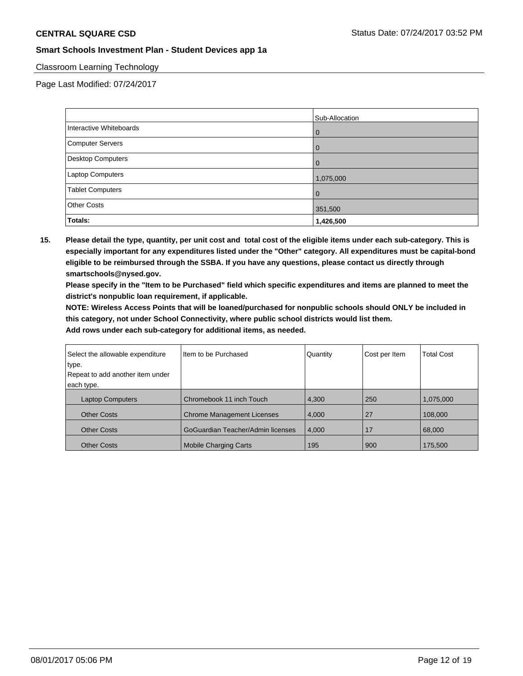## Classroom Learning Technology

Page Last Modified: 07/24/2017

|                         | Sub-Allocation |
|-------------------------|----------------|
| Interactive Whiteboards | 0              |
| Computer Servers        |                |
| Desktop Computers       | $\Omega$       |
| Laptop Computers        | 1,075,000      |
| <b>Tablet Computers</b> | 0              |
| <b>Other Costs</b>      | 351,500        |
| Totals:                 | 1,426,500      |

**15. Please detail the type, quantity, per unit cost and total cost of the eligible items under each sub-category. This is especially important for any expenditures listed under the "Other" category. All expenditures must be capital-bond eligible to be reimbursed through the SSBA. If you have any questions, please contact us directly through smartschools@nysed.gov.**

**Please specify in the "Item to be Purchased" field which specific expenditures and items are planned to meet the district's nonpublic loan requirement, if applicable.**

**NOTE: Wireless Access Points that will be loaned/purchased for nonpublic schools should ONLY be included in this category, not under School Connectivity, where public school districts would list them.**

| Select the allowable expenditure | Item to be Purchased              | Quantity | Cost per Item | <b>Total Cost</b> |
|----------------------------------|-----------------------------------|----------|---------------|-------------------|
| type.                            |                                   |          |               |                   |
| Repeat to add another item under |                                   |          |               |                   |
| each type.                       |                                   |          |               |                   |
| <b>Laptop Computers</b>          | Chromebook 11 inch Touch          | 4,300    | 250           | 1,075,000         |
| <b>Other Costs</b>               | <b>Chrome Management Licenses</b> | 4,000    | 27            | 108,000           |
| <b>Other Costs</b>               | GoGuardian Teacher/Admin licenses | 4,000    | 17            | 68,000            |
| <b>Other Costs</b>               | <b>Mobile Charging Carts</b>      | 195      | 900           | 175,500           |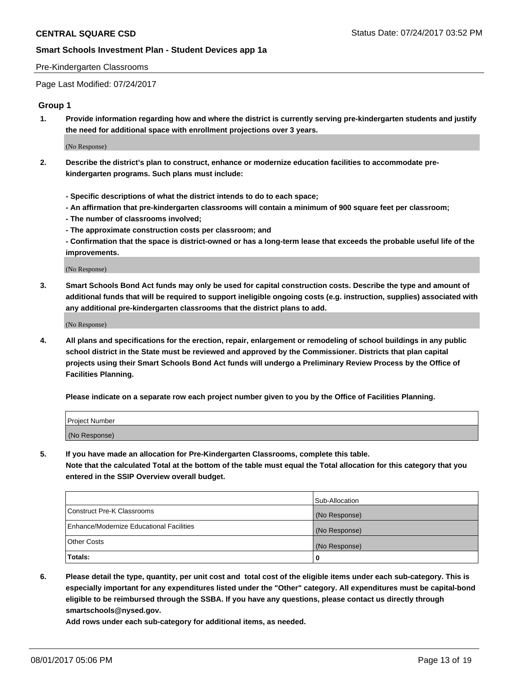#### Pre-Kindergarten Classrooms

Page Last Modified: 07/24/2017

#### **Group 1**

**1. Provide information regarding how and where the district is currently serving pre-kindergarten students and justify the need for additional space with enrollment projections over 3 years.**

(No Response)

- **2. Describe the district's plan to construct, enhance or modernize education facilities to accommodate prekindergarten programs. Such plans must include:**
	- **Specific descriptions of what the district intends to do to each space;**
	- **An affirmation that pre-kindergarten classrooms will contain a minimum of 900 square feet per classroom;**
	- **The number of classrooms involved;**
	- **The approximate construction costs per classroom; and**
	- **Confirmation that the space is district-owned or has a long-term lease that exceeds the probable useful life of the improvements.**

(No Response)

**3. Smart Schools Bond Act funds may only be used for capital construction costs. Describe the type and amount of additional funds that will be required to support ineligible ongoing costs (e.g. instruction, supplies) associated with any additional pre-kindergarten classrooms that the district plans to add.**

(No Response)

**4. All plans and specifications for the erection, repair, enlargement or remodeling of school buildings in any public school district in the State must be reviewed and approved by the Commissioner. Districts that plan capital projects using their Smart Schools Bond Act funds will undergo a Preliminary Review Process by the Office of Facilities Planning.**

**Please indicate on a separate row each project number given to you by the Office of Facilities Planning.**

| Project Number |  |
|----------------|--|
| (No Response)  |  |

**5. If you have made an allocation for Pre-Kindergarten Classrooms, complete this table. Note that the calculated Total at the bottom of the table must equal the Total allocation for this category that you entered in the SSIP Overview overall budget.**

| Totals:                                  | 0              |
|------------------------------------------|----------------|
| Other Costs                              | (No Response)  |
| Enhance/Modernize Educational Facilities | (No Response)  |
| Construct Pre-K Classrooms               | (No Response)  |
|                                          | Sub-Allocation |

**6. Please detail the type, quantity, per unit cost and total cost of the eligible items under each sub-category. This is especially important for any expenditures listed under the "Other" category. All expenditures must be capital-bond eligible to be reimbursed through the SSBA. If you have any questions, please contact us directly through smartschools@nysed.gov.**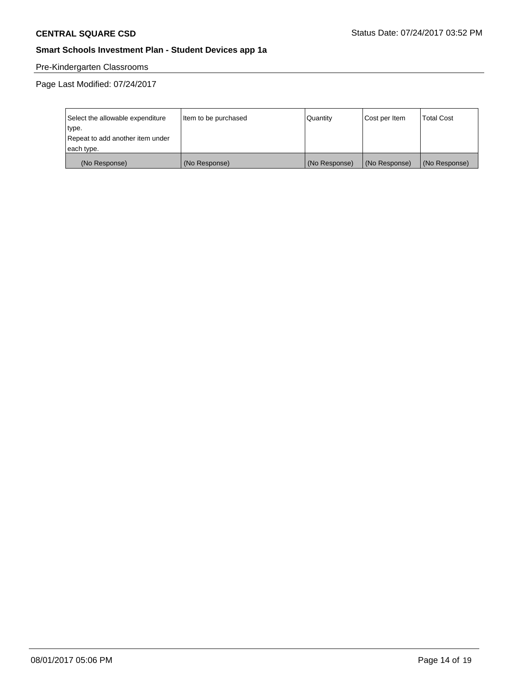# Pre-Kindergarten Classrooms

| Select the allowable expenditure | Item to be purchased | Quantity      | Cost per Item | <b>Total Cost</b> |
|----------------------------------|----------------------|---------------|---------------|-------------------|
| type.                            |                      |               |               |                   |
| Repeat to add another item under |                      |               |               |                   |
| each type.                       |                      |               |               |                   |
| (No Response)                    | (No Response)        | (No Response) | (No Response) | (No Response)     |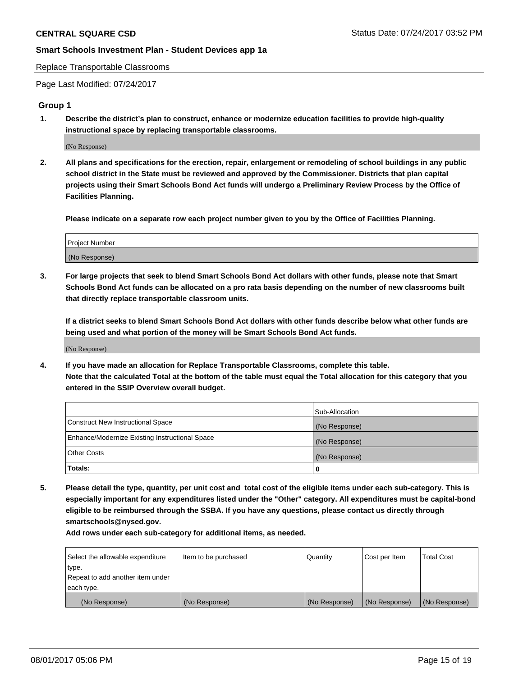Replace Transportable Classrooms

Page Last Modified: 07/24/2017

#### **Group 1**

**1. Describe the district's plan to construct, enhance or modernize education facilities to provide high-quality instructional space by replacing transportable classrooms.**

(No Response)

**2. All plans and specifications for the erection, repair, enlargement or remodeling of school buildings in any public school district in the State must be reviewed and approved by the Commissioner. Districts that plan capital projects using their Smart Schools Bond Act funds will undergo a Preliminary Review Process by the Office of Facilities Planning.**

**Please indicate on a separate row each project number given to you by the Office of Facilities Planning.**

| Project Number |  |
|----------------|--|
| (No Response)  |  |

**3. For large projects that seek to blend Smart Schools Bond Act dollars with other funds, please note that Smart Schools Bond Act funds can be allocated on a pro rata basis depending on the number of new classrooms built that directly replace transportable classroom units.**

**If a district seeks to blend Smart Schools Bond Act dollars with other funds describe below what other funds are being used and what portion of the money will be Smart Schools Bond Act funds.**

(No Response)

**4. If you have made an allocation for Replace Transportable Classrooms, complete this table. Note that the calculated Total at the bottom of the table must equal the Total allocation for this category that you entered in the SSIP Overview overall budget.**

|                                                | Sub-Allocation |
|------------------------------------------------|----------------|
| Construct New Instructional Space              | (No Response)  |
| Enhance/Modernize Existing Instructional Space | (No Response)  |
| Other Costs                                    | (No Response)  |
| Totals:                                        | 0              |

**5. Please detail the type, quantity, per unit cost and total cost of the eligible items under each sub-category. This is especially important for any expenditures listed under the "Other" category. All expenditures must be capital-bond eligible to be reimbursed through the SSBA. If you have any questions, please contact us directly through smartschools@nysed.gov.**

| Select the allowable expenditure | Item to be purchased | Quantity      | Cost per Item | <b>Total Cost</b> |
|----------------------------------|----------------------|---------------|---------------|-------------------|
| type.                            |                      |               |               |                   |
| Repeat to add another item under |                      |               |               |                   |
| each type.                       |                      |               |               |                   |
| (No Response)                    | (No Response)        | (No Response) | (No Response) | (No Response)     |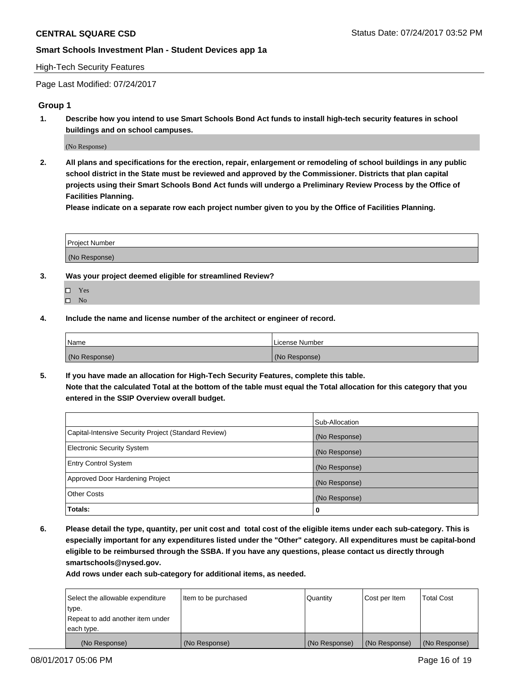#### High-Tech Security Features

Page Last Modified: 07/24/2017

# **Group 1**

**1. Describe how you intend to use Smart Schools Bond Act funds to install high-tech security features in school buildings and on school campuses.**

(No Response)

**2. All plans and specifications for the erection, repair, enlargement or remodeling of school buildings in any public school district in the State must be reviewed and approved by the Commissioner. Districts that plan capital projects using their Smart Schools Bond Act funds will undergo a Preliminary Review Process by the Office of Facilities Planning.** 

**Please indicate on a separate row each project number given to you by the Office of Facilities Planning.**

| Project Number |  |
|----------------|--|
|                |  |
| (No Response)  |  |

- **3. Was your project deemed eligible for streamlined Review?**
	- Yes  $\hfill \square$  No
- **4. Include the name and license number of the architect or engineer of record.**

| Name          | l License Number |
|---------------|------------------|
| (No Response) | (No Response)    |

**5. If you have made an allocation for High-Tech Security Features, complete this table. Note that the calculated Total at the bottom of the table must equal the Total allocation for this category that you entered in the SSIP Overview overall budget.**

|                                                      | Sub-Allocation |
|------------------------------------------------------|----------------|
| Capital-Intensive Security Project (Standard Review) | (No Response)  |
| <b>Electronic Security System</b>                    | (No Response)  |
| <b>Entry Control System</b>                          | (No Response)  |
| Approved Door Hardening Project                      | (No Response)  |
| <b>Other Costs</b>                                   | (No Response)  |
| Totals:                                              | 0              |

**6. Please detail the type, quantity, per unit cost and total cost of the eligible items under each sub-category. This is especially important for any expenditures listed under the "Other" category. All expenditures must be capital-bond eligible to be reimbursed through the SSBA. If you have any questions, please contact us directly through smartschools@nysed.gov.**

| (No Response)                    | (No Response)        | (No Response) | (No Response) | (No Response)     |
|----------------------------------|----------------------|---------------|---------------|-------------------|
| each type.                       |                      |               |               |                   |
| Repeat to add another item under |                      |               |               |                   |
| type.                            |                      |               |               |                   |
| Select the allowable expenditure | Item to be purchased | Quantity      | Cost per Item | <b>Total Cost</b> |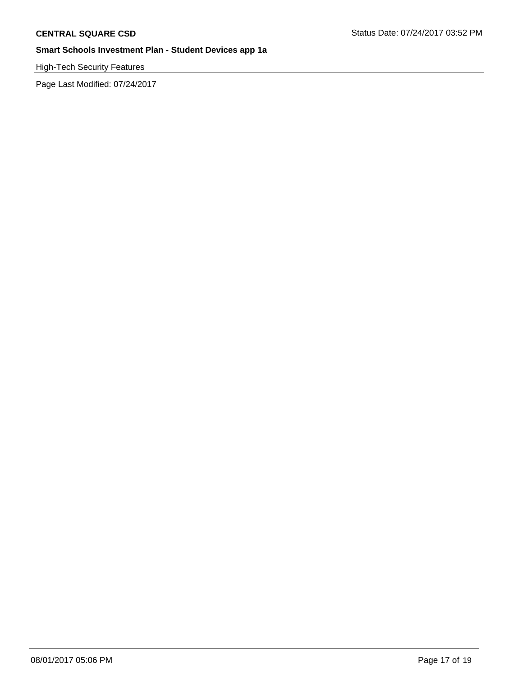High-Tech Security Features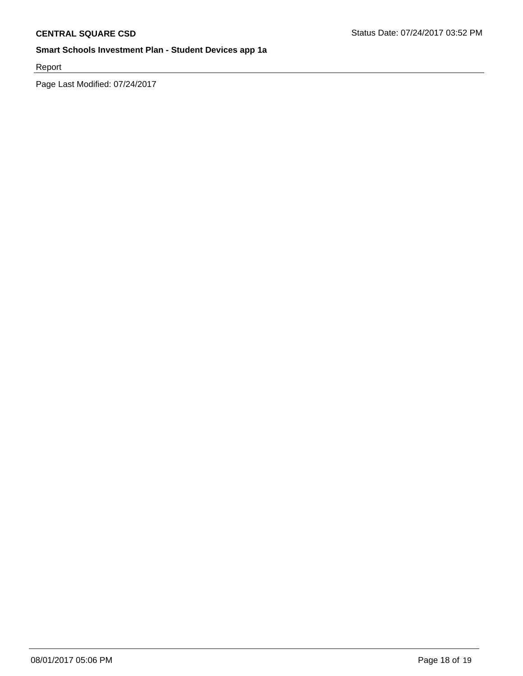Report